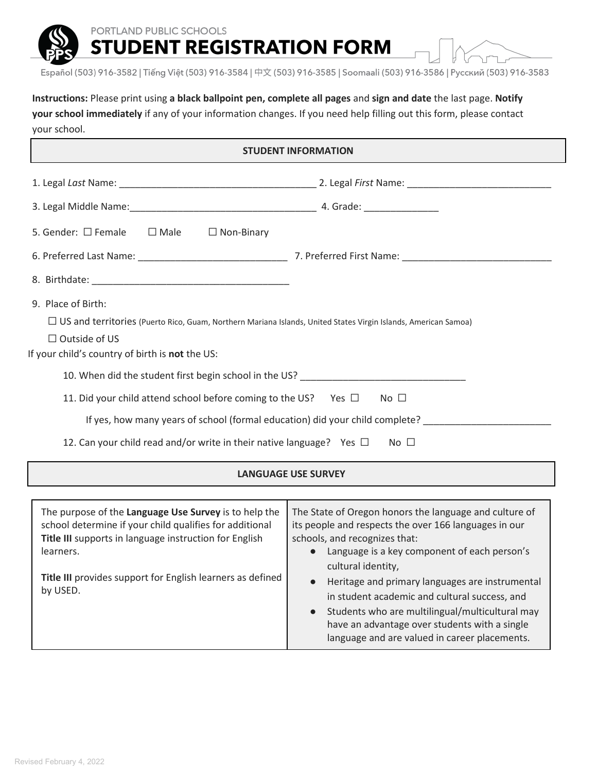PORTLAND PUBLIC SCHOOLS

**STUDENT REGISTRATION FORM** 



Español (503) 916-3582 | Tiếng Việt (503) 916-3584 | 中文 (503) 916-3585 | Soomaali (503) 916-3586 | Русский (503) 916-3583

**Instructions:** Please print using **a black ballpoint pen, complete all pages** and **sign and date** the last page. **Notify your school immediately** if any of your information changes. If you need help filling out this form, please contact your school.

| 5. Gender: $\square$ Female $\square$ Male<br>$\Box$ Non-Binary                                                                                                                                                                                                                                                                                                                                                                                 |                                                                                                                                                                                                                                                                                                                                                                                                                                                                                   |  |  |
|-------------------------------------------------------------------------------------------------------------------------------------------------------------------------------------------------------------------------------------------------------------------------------------------------------------------------------------------------------------------------------------------------------------------------------------------------|-----------------------------------------------------------------------------------------------------------------------------------------------------------------------------------------------------------------------------------------------------------------------------------------------------------------------------------------------------------------------------------------------------------------------------------------------------------------------------------|--|--|
|                                                                                                                                                                                                                                                                                                                                                                                                                                                 |                                                                                                                                                                                                                                                                                                                                                                                                                                                                                   |  |  |
|                                                                                                                                                                                                                                                                                                                                                                                                                                                 |                                                                                                                                                                                                                                                                                                                                                                                                                                                                                   |  |  |
| 9. Place of Birth:<br>$\Box$ US and territories (Puerto Rico, Guam, Northern Mariana Islands, United States Virgin Islands, American Samoa)<br>$\Box$ Outside of US<br>If your child's country of birth is not the US:<br>10. When did the student first begin school in the US?<br>11. Did your child attend school before coming to the US? Yes $\Box$ No $\Box$<br>12. Can your child read and/or write in their native language? Yes $\Box$ | If yes, how many years of school (formal education) did your child complete?<br>$No$ $\Box$                                                                                                                                                                                                                                                                                                                                                                                       |  |  |
|                                                                                                                                                                                                                                                                                                                                                                                                                                                 | <b>LANGUAGE USE SURVEY</b>                                                                                                                                                                                                                                                                                                                                                                                                                                                        |  |  |
|                                                                                                                                                                                                                                                                                                                                                                                                                                                 |                                                                                                                                                                                                                                                                                                                                                                                                                                                                                   |  |  |
| The purpose of the Language Use Survey is to help the<br>school determine if your child qualifies for additional<br>Title III supports in language instruction for English<br>learners.<br>Title III provides support for English learners as defined<br>by USED.                                                                                                                                                                               | The State of Oregon honors the language and culture of<br>its people and respects the over 166 languages in our<br>schools, and recognizes that:<br>• Language is a key component of each person's<br>cultural identity,<br>Heritage and primary languages are instrumental<br>in student academic and cultural success, and<br>Students who are multilingual/multicultural may<br>have an advantage over students with a single<br>language and are valued in career placements. |  |  |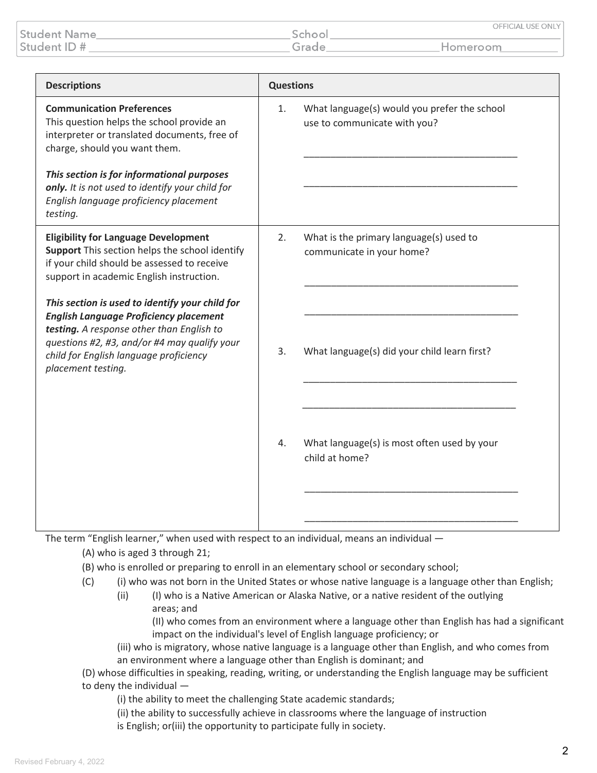|                     |        | OFFICIAL USE ONLY |
|---------------------|--------|-------------------|
| <b>Student Name</b> | School |                   |
| Student ID #        | Grade  | Homeroom          |

| <b>Descriptions</b>                                                                                                                                                                                                                                                                                                                                                                                                                 | <b>Questions</b> |                                                                                                                      |
|-------------------------------------------------------------------------------------------------------------------------------------------------------------------------------------------------------------------------------------------------------------------------------------------------------------------------------------------------------------------------------------------------------------------------------------|------------------|----------------------------------------------------------------------------------------------------------------------|
| <b>Communication Preferences</b><br>This question helps the school provide an<br>interpreter or translated documents, free of<br>charge, should you want them.<br>This section is for informational purposes<br>only. It is not used to identify your child for<br>English language proficiency placement<br>testing.                                                                                                               | 1.               | What language(s) would you prefer the school<br>use to communicate with you?                                         |
| <b>Eligibility for Language Development</b><br>Support This section helps the school identify<br>if your child should be assessed to receive<br>support in academic English instruction.<br>This section is used to identify your child for<br><b>English Language Proficiency placement</b><br>testing. A response other than English to<br>questions #2, #3, and/or #4 may qualify your<br>child for English language proficiency | 2.<br>3.         | What is the primary language(s) used to<br>communicate in your home?<br>What language(s) did your child learn first? |
| placement testing.                                                                                                                                                                                                                                                                                                                                                                                                                  | 4.               | What language(s) is most often used by your<br>child at home?                                                        |

The term "English learner," when used with respect to an individual, means an individual -

(A) who is aged 3 through 21;

- (B) who is enrolled or preparing to enroll in an elementary school or secondary school;
- (C) (i) who was not born in the United States or whose native language is a language other than English;
	- (ii) (I) who is a Native American or Alaska Native, or a native resident of the outlying areas; and

(II) who comes from an environment where a language other than English has had a significant impact on the individual's level of English language proficiency; or

(iii) who is migratory, whose native language is a language other than English, and who comes from an environment where a language other than English is dominant; and

(D) whose difficulties in speaking, reading, writing, or understanding the English language may be sufficient to deny the individual —

(i) the ability to meet the challenging State academic standards;

(ii) the ability to successfully achieve in classrooms where the language of instruction is English; or(iii) the opportunity to participate fully in society.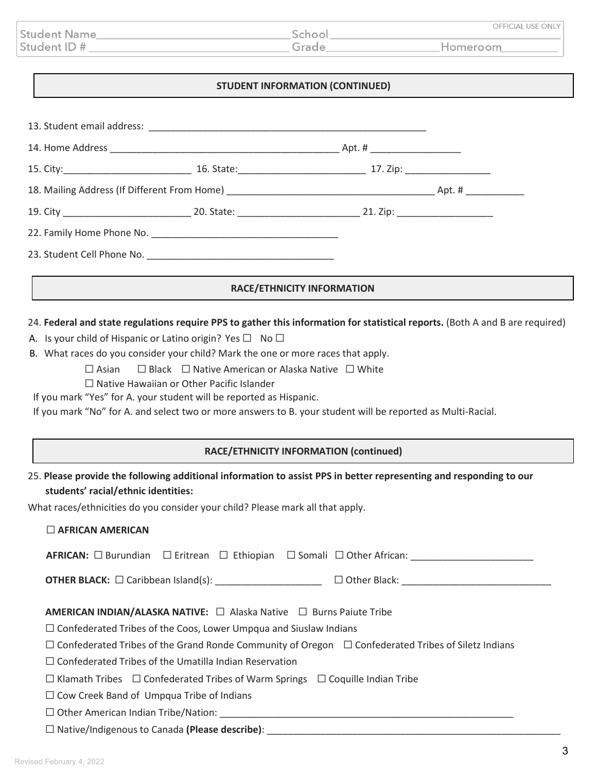|                     |       | OFFICIAL USE ONLY |
|---------------------|-------|-------------------|
| <b>Student Name</b> | Schoo |                   |
| Student ID #        | arade | Homeroom          |

### **STUDENT INFORMATION (CONTINUED)**

|                                                                |                                                                                                                                                                                                                                                                                                                                                                                                                                                                              | <b>RACE/ETHNICITY INFORMATION</b>      |                                                                                                                               |
|----------------------------------------------------------------|------------------------------------------------------------------------------------------------------------------------------------------------------------------------------------------------------------------------------------------------------------------------------------------------------------------------------------------------------------------------------------------------------------------------------------------------------------------------------|----------------------------------------|-------------------------------------------------------------------------------------------------------------------------------|
| $\Box$ Asian                                                   | A. Is your child of Hispanic or Latino origin? Yes $\square$ No $\square$<br>B. What races do you consider your child? Mark the one or more races that apply.<br>$\Box$ Black $\Box$ Native American or Alaska Native $\Box$ White<br>$\Box$ Native Hawaiian or Other Pacific Islander<br>If you mark "Yes" for A. your student will be reported as Hispanic.<br>If you mark "No" for A. and select two or more answers to B. your student will be reported as Multi-Racial. |                                        | 24. Federal and state regulations require PPS to gather this information for statistical reports. (Both A and B are required) |
|                                                                |                                                                                                                                                                                                                                                                                                                                                                                                                                                                              | RACE/ETHNICITY INFORMATION (continued) |                                                                                                                               |
| students' racial/ethnic identities:<br>$\Box$ AFRICAN AMERICAN | 25. Please provide the following additional information to assist PPS in better representing and responding to our<br>What races/ethnicities do you consider your child? Please mark all that apply.                                                                                                                                                                                                                                                                         |                                        |                                                                                                                               |
|                                                                | AFRICAN: □ Burundian □ Eritrean □ Ethiopian □ Somali □ Other African: ______                                                                                                                                                                                                                                                                                                                                                                                                 |                                        |                                                                                                                               |

**OTHER BLACK:** ☐ Caribbean Island(s): \_\_\_\_\_\_\_\_\_\_\_\_\_\_\_\_\_\_\_\_ ☐ Other Black: \_\_\_\_\_\_\_\_\_\_\_\_\_\_\_\_\_\_\_\_\_\_\_\_\_\_\_\_

| AMERICAN INDIAN/ALASKA NATIVE: □ Alaska Native □ Burns Paiute Tribe |  |  |
|---------------------------------------------------------------------|--|--|
|---------------------------------------------------------------------|--|--|

☐ Confederated Tribes of the Coos, Lower Umpqua and Siuslaw Indians

| $\Box$ Confederated Tribes of the Grand Ronde Community of Oregon $\Box$ Confederated Tribes of Siletz Indians |  |
|----------------------------------------------------------------------------------------------------------------|--|
|----------------------------------------------------------------------------------------------------------------|--|

☐ Confederated Tribes of the Umatilla Indian Reservation

☐ Klamath Tribes ☐ Confederated Tribes of Warm Springs ☐ Coquille Indian Tribe

☐ Cow Creek Band of Umpqua Tribe of Indians

☐ Other American Indian Tribe/Nation: \_\_\_\_\_\_\_\_\_\_\_\_\_\_\_\_\_\_\_\_\_\_\_\_\_\_\_\_\_\_\_\_\_\_\_\_\_\_\_\_\_\_\_\_\_\_\_\_\_\_\_\_\_\_\_

☐ Native/Indigenous to Canada **(Please describe)**: \_\_\_\_\_\_\_\_\_\_\_\_\_\_\_\_\_\_\_\_\_\_\_\_\_\_\_\_\_\_\_\_\_\_\_\_\_\_\_\_\_\_\_\_\_\_\_\_\_\_\_\_\_\_\_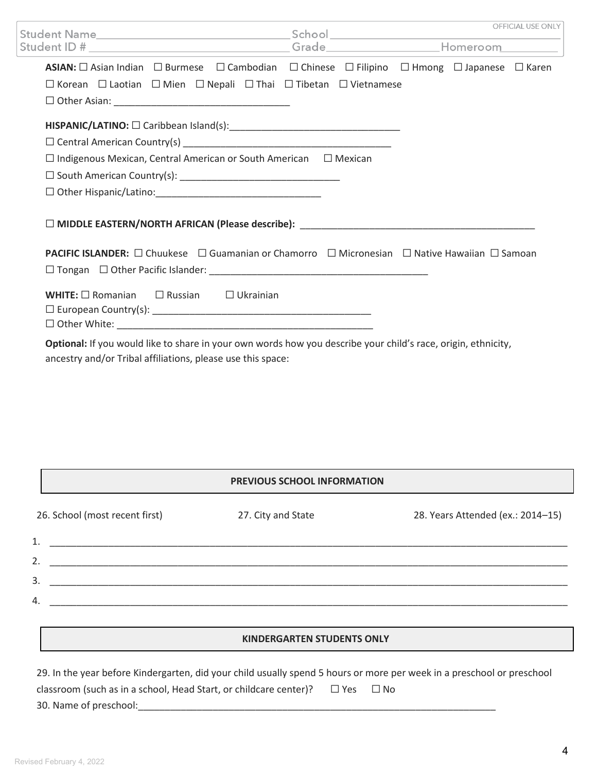|                                                                                                                                                                              |  | OFFICIAL USE ONLY |
|------------------------------------------------------------------------------------------------------------------------------------------------------------------------------|--|-------------------|
| Student ID # _______________________________Grade_____________________Homeroom_________                                                                                      |  |                   |
| ASIAN: □ Asian Indian □ Burmese □ Cambodian □ Chinese □ Filipino □ Hmong □ Japanese □ Karen                                                                                  |  |                   |
| $\Box$ Korean $\Box$ Laotian $\Box$ Mien $\Box$ Nepali $\Box$ Thai $\Box$ Tibetan $\Box$ Vietnamese                                                                          |  |                   |
|                                                                                                                                                                              |  |                   |
|                                                                                                                                                                              |  |                   |
|                                                                                                                                                                              |  |                   |
| $\Box$ Indigenous Mexican, Central American or South American $\Box$ Mexican                                                                                                 |  |                   |
|                                                                                                                                                                              |  |                   |
|                                                                                                                                                                              |  |                   |
|                                                                                                                                                                              |  |                   |
| PACIFIC ISLANDER: □ Chuukese □ Guamanian or Chamorro □ Micronesian □ Native Hawaiian □ Samoan                                                                                |  |                   |
|                                                                                                                                                                              |  |                   |
| <b>WHITE:</b> $\Box$ Romanian $\Box$ Russian $\Box$ Ukrainian                                                                                                                |  |                   |
| Optional: If you would like to share in your own words how you describe your child's race, origin, ethnicity,<br>ancestry and/or Tribal affiliations, please use this space: |  |                   |

## **PREVIOUS SCHOOL INFORMATION**

| 26. School (most recent first) | 27. City and State | 28. Years Attended (ex.: 2014-15) |
|--------------------------------|--------------------|-----------------------------------|
| 1.                             |                    |                                   |
| 2.                             |                    |                                   |
| 3.                             |                    |                                   |
| 4.                             |                    |                                   |
|                                |                    |                                   |

#### **KINDERGARTEN STUDENTS ONLY**

| 29. In the year before Kindergarten, did your child usually spend 5 hours or more per week in a preschool or preschool |            |  |
|------------------------------------------------------------------------------------------------------------------------|------------|--|
| classroom (such as in a school, Head Start, or childcare center)?                                                      | □ Yes □ No |  |
| 30. Name of preschool:                                                                                                 |            |  |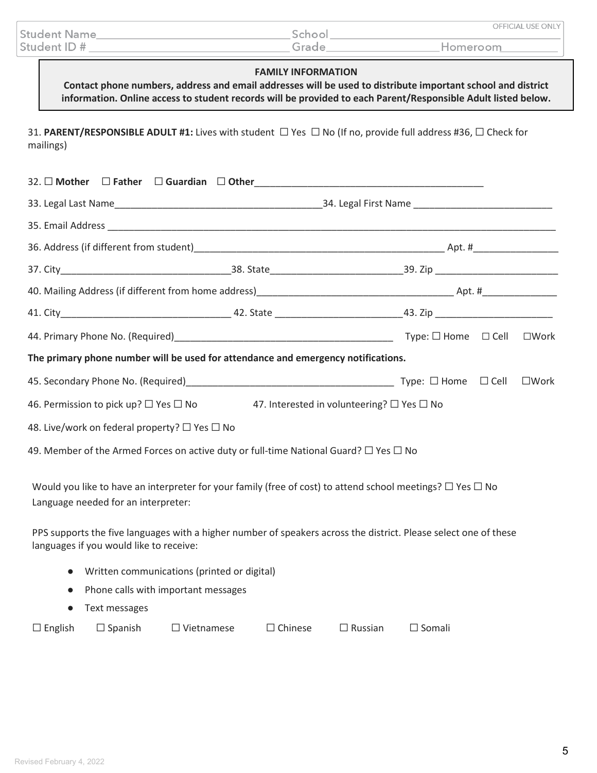|              | OFFICIAL USE ONLY |
|--------------|-------------------|
| Student Name |                   |
| Student ID#  | Homeroom          |

#### **FAMILY INFORMATION**

**Contact phone numbers, address and email addresses will be used to distribute important school and district information. Online access to student records will be provided to each Parent/Responsible Adult listed below.**

31. **PARENT/RESPONSIBLE ADULT #1:** Lives with student ☐ Yes ☐ No (If no, provide full address #36, ☐ Check for mailings)

|                                               |                                                                                                       |                                                                                                                                                                                                                                          | $\square$ Work |
|-----------------------------------------------|-------------------------------------------------------------------------------------------------------|------------------------------------------------------------------------------------------------------------------------------------------------------------------------------------------------------------------------------------------|----------------|
|                                               | The primary phone number will be used for attendance and emergency notifications.                     |                                                                                                                                                                                                                                          |                |
|                                               |                                                                                                       |                                                                                                                                                                                                                                          | $\square$ Work |
|                                               | 46. Permission to pick up? $\Box$ Yes $\Box$ No 47. Interested in volunteering? $\Box$ Yes $\Box$ No  |                                                                                                                                                                                                                                          |                |
| 48. Live/work on federal property? □ Yes □ No |                                                                                                       |                                                                                                                                                                                                                                          |                |
|                                               | 49. Member of the Armed Forces on active duty or full-time National Guard? $\square$ Yes $\square$ No |                                                                                                                                                                                                                                          |                |
| Language needed for an interpreter:           |                                                                                                       | Would you like to have an interpreter for your family (free of cost) to attend school meetings? $\Box$ Yes $\Box$ No<br>PPS supports the five languages with a higher number of speakers across the district. Please select one of these |                |
| languages if you would like to receive:       |                                                                                                       |                                                                                                                                                                                                                                          |                |
| $\bullet$                                     | Written communications (printed or digital)                                                           |                                                                                                                                                                                                                                          |                |
| $\bullet$                                     | Phone calls with important messages                                                                   |                                                                                                                                                                                                                                          |                |
| Text messages<br>$\bullet$                    |                                                                                                       |                                                                                                                                                                                                                                          |                |
| $\Box$ Spanish<br>$\Box$ English              | $\Box$ Chinese<br>$\Box$ Vietnamese                                                                   | $\Box$ Russian<br>$\Box$ Somali                                                                                                                                                                                                          |                |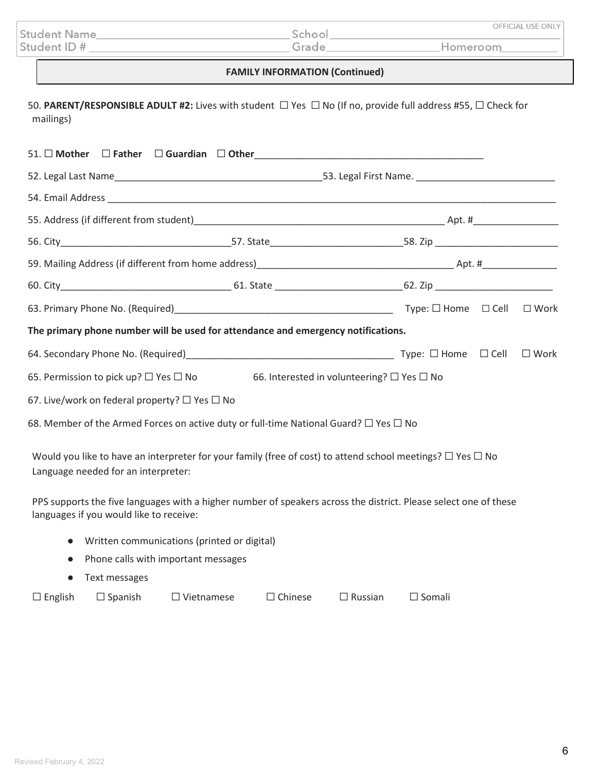|              |        | OFFICIAL USE ONLY |
|--------------|--------|-------------------|
| Student Name | School |                   |
| Student ID # | Grade  | Homeroom          |

# **FAMILY INFORMATION (Continued)**

50. **PARENT/RESPONSIBLE ADULT #2:** Lives with student ☐ Yes ☐ No (If no, provide full address #55, ☐ Check for mailings)

|                                                                                                                                                             |  | 54. Email Address <b>Commission Commission Commission</b> Commission Commission Commission                       |  |
|-------------------------------------------------------------------------------------------------------------------------------------------------------------|--|------------------------------------------------------------------------------------------------------------------|--|
|                                                                                                                                                             |  |                                                                                                                  |  |
|                                                                                                                                                             |  |                                                                                                                  |  |
|                                                                                                                                                             |  |                                                                                                                  |  |
|                                                                                                                                                             |  |                                                                                                                  |  |
|                                                                                                                                                             |  |                                                                                                                  |  |
| The primary phone number will be used for attendance and emergency notifications.                                                                           |  |                                                                                                                  |  |
|                                                                                                                                                             |  |                                                                                                                  |  |
| 65. Permission to pick up? $\Box$ Yes $\Box$ No 66. Interested in volunteering? $\Box$ Yes $\Box$ No                                                        |  |                                                                                                                  |  |
| 67. Live/work on federal property? $\Box$ Yes $\Box$ No                                                                                                     |  |                                                                                                                  |  |
| 68. Member of the Armed Forces on active duty or full-time National Guard? $\square$ Yes $\square$ No                                                       |  |                                                                                                                  |  |
| Would you like to have an interpreter for your family (free of cost) to attend school meetings? $\Box$ Yes $\Box$ No<br>Language needed for an interpreter: |  |                                                                                                                  |  |
| languages if you would like to receive:                                                                                                                     |  | PPS supports the five languages with a higher number of speakers across the district. Please select one of these |  |

- Written communications (printed or digital)
- Phone calls with important messages
- Text messages

|  | $\Box$ English | $\Box$ Spanish | $\Box$ Vietnamese | $\Box$ Chinese | $\Box$ Russian | $\Box$ Somali |
|--|----------------|----------------|-------------------|----------------|----------------|---------------|
|--|----------------|----------------|-------------------|----------------|----------------|---------------|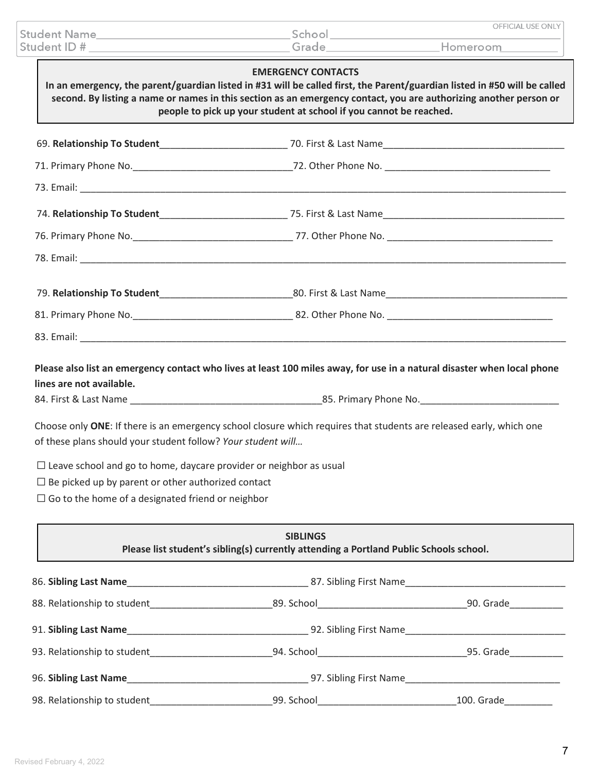| Student ID# | <b>Student Name</b>                                                                                               | School<br>Grade           | OFFICIAL USE ONLY<br>Homeroom                                                                                             |
|-------------|-------------------------------------------------------------------------------------------------------------------|---------------------------|---------------------------------------------------------------------------------------------------------------------------|
|             | second. By listing a name or names in this section as an emergency contact, you are authorizing another person or | <b>EMERGENCY CONTACTS</b> | In an emergency, the parent/guardian listed in #31 will be called first, the Parent/guardian listed in #50 will be called |

| people to pick up your student at school if you cannot be reached. |                                                                                                                |  |  |
|--------------------------------------------------------------------|----------------------------------------------------------------------------------------------------------------|--|--|
|                                                                    |                                                                                                                |  |  |
|                                                                    |                                                                                                                |  |  |
|                                                                    |                                                                                                                |  |  |
|                                                                    |                                                                                                                |  |  |
|                                                                    |                                                                                                                |  |  |
|                                                                    |                                                                                                                |  |  |
|                                                                    | 79. Relationship To Student__________________________________80. First & Last Name____________________________ |  |  |

| 81. Primary Phone No. | 82. Other Phone No. |
|-----------------------|---------------------|
|                       |                     |

**Please also list an emergency contact who lives at least 100 miles away, for use in a natural disaster when local phone lines are not available.**

84. First & Last Name **Example 2018** 25. Primary Phone No.

Choose only **ONE**: If there is an emergency school closure which requires that students are released early, which one of these plans should your student follow? *Your student will…*

 $\Box$  Leave school and go to home, daycare provider or neighbor as usual

 $\Box$  Be picked up by parent or other authorized contact

 $\Box$  Go to the home of a designated friend or neighbor

| <b>SIBLINGS</b><br>Please list student's sibling(s) currently attending a Portland Public Schools school. |                                                                                                                |                        |  |
|-----------------------------------------------------------------------------------------------------------|----------------------------------------------------------------------------------------------------------------|------------------------|--|
|                                                                                                           |                                                                                                                |                        |  |
|                                                                                                           | 89. School and the contract of the contract of the contract of the contract of the contract of the contract of | 90. Grade              |  |
|                                                                                                           |                                                                                                                | 92. Sibling First Name |  |
| 93. Relationship to student                                                                               | 94. School and the state of the state of the state of the state of the state of the state of the state of the  | 95. Grade              |  |
|                                                                                                           |                                                                                                                | 97. Sibling First Name |  |
| 98. Relationship to student                                                                               | 99. School and the state of the state of the state of the state of the state of the state of the state of the  | 100. Grade             |  |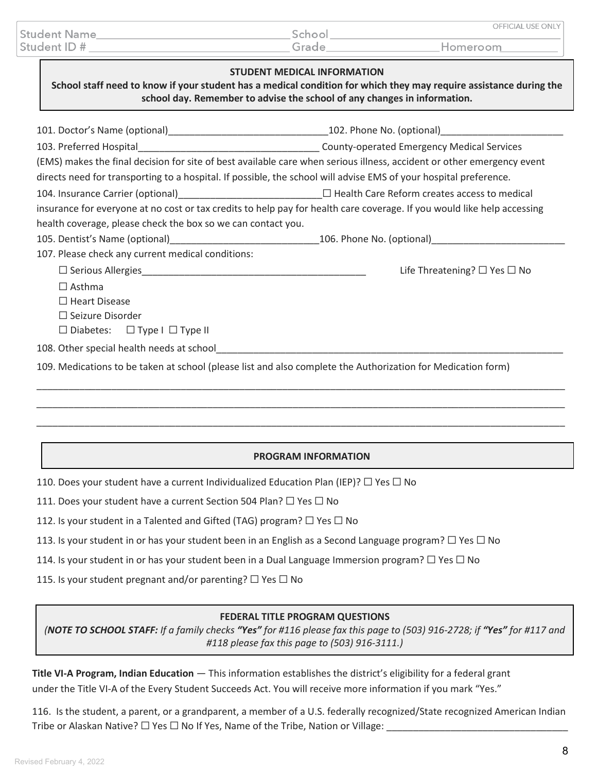|                     |        | OFFICIAL USE ONLY I |
|---------------------|--------|---------------------|
| <b>Student Name</b> | School |                     |
| Student ID #        | Grade  | Homeroom            |

#### **STUDENT MEDICAL INFORMATION**

**School staff need to know if your student has a medical condition for which they may require assistance during the school day. Remember to advise the school of any changes in information.**

| 101. Doctor's Name (optional)__________________________________102. Phone No. (optional)______________________                                                                                                                 |                                              |  |
|--------------------------------------------------------------------------------------------------------------------------------------------------------------------------------------------------------------------------------|----------------------------------------------|--|
| County-operated Emergency Medical Services                                                                                                                                                                                     |                                              |  |
| (EMS) makes the final decision for site of best available care when serious illness, accident or other emergency event                                                                                                         |                                              |  |
| directs need for transporting to a hospital. If possible, the school will advise EMS of your hospital preference.                                                                                                              |                                              |  |
|                                                                                                                                                                                                                                |                                              |  |
| insurance for everyone at no cost or tax credits to help pay for health care coverage. If you would like help accessing                                                                                                        |                                              |  |
| health coverage, please check the box so we can contact you.                                                                                                                                                                   |                                              |  |
| 105. Dentist's Name (optional)___________________________________106. Phone No. (optional)____________________                                                                                                                 |                                              |  |
| 107. Please check any current medical conditions:                                                                                                                                                                              |                                              |  |
|                                                                                                                                                                                                                                | Life Threatening? $\square$ Yes $\square$ No |  |
| $\Box$ Asthma                                                                                                                                                                                                                  |                                              |  |
| $\Box$ Heart Disease                                                                                                                                                                                                           |                                              |  |
| $\Box$ Seizure Disorder                                                                                                                                                                                                        |                                              |  |
| $\Box$ Diabetes: $\Box$ Type I $\Box$ Type II                                                                                                                                                                                  |                                              |  |
| 108. Other special health needs at school example and a set of the state of the state of the state of the state of the state of the state of the state of the state of the state of the state of the state of the state of the |                                              |  |
| 109. Medications to be taken at school (please list and also complete the Authorization for Medication form)                                                                                                                   |                                              |  |

### **PROGRAM INFORMATION**

\_\_\_\_\_\_\_\_\_\_\_\_\_\_\_\_\_\_\_\_\_\_\_\_\_\_\_\_\_\_\_\_\_\_\_\_\_\_\_\_\_\_\_\_\_\_\_\_\_\_\_\_\_\_\_\_\_\_\_\_\_\_\_\_\_\_\_\_\_\_\_\_\_\_\_\_\_\_\_\_\_\_\_\_\_\_\_\_\_\_\_\_\_\_\_\_\_\_\_ \_\_\_\_\_\_\_\_\_\_\_\_\_\_\_\_\_\_\_\_\_\_\_\_\_\_\_\_\_\_\_\_\_\_\_\_\_\_\_\_\_\_\_\_\_\_\_\_\_\_\_\_\_\_\_\_\_\_\_\_\_\_\_\_\_\_\_\_\_\_\_\_\_\_\_\_\_\_\_\_\_\_\_\_\_\_\_\_\_\_\_\_\_\_\_\_\_\_\_

110. Does your student have a current Individualized Education Plan (IEP)?  $\Box$  Yes  $\Box$  No

111. Does your student have a current Section 504 Plan?  $\Box$  Yes  $\Box$  No

112. Is your student in a Talented and Gifted (TAG) program?  $\Box$  Yes  $\Box$  No

113. Is your student in or has your student been in an English as a Second Language program?  $\Box$  Yes  $\Box$  No

114. Is your student in or has your student been in a Dual Language Immersion program?  $\Box$  Yes  $\Box$  No

115. Is your student pregnant and/or parenting?  $\Box$  Yes  $\Box$  No

### **FEDERAL TITLE PROGRAM QUESTIONS**

*(NOTE TO SCHOOL STAFF: If a family checks "Yes" for #116 please fax this page to (503) 916-2728; if "Yes" for #117 and #118 please fax this page to (503) 916-3111.)*

**Title VI-A Program, Indian Education** — This information establishes the district's eligibility for a federal grant under the Title VI-A of the Every Student Succeeds Act. You will receive more information if you mark "Yes."

116. Is the student, a parent, or a grandparent, a member of a U.S. federally recognized/State recognized American Indian Tribe or Alaskan Native?  $\Box$  Yes  $\Box$  No If Yes, Name of the Tribe, Nation or Village:  $\Box$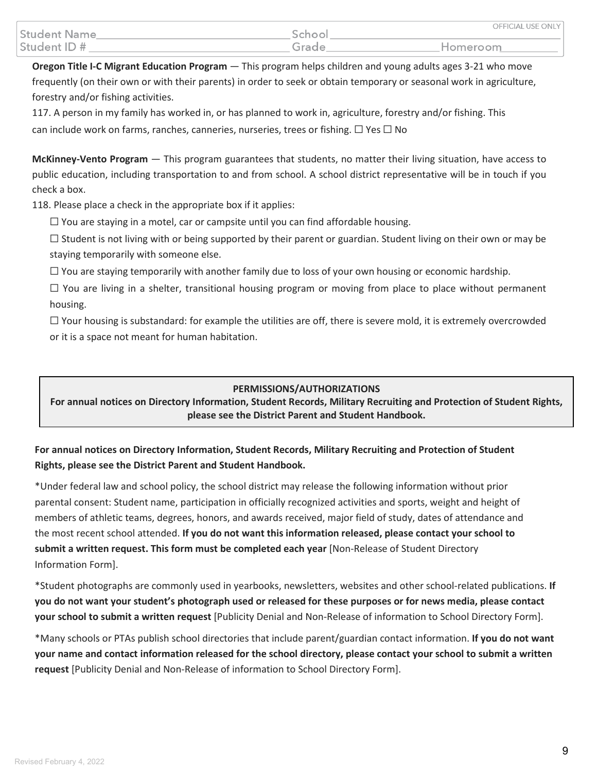|                     |        | OFFICIAL USE ONLY |
|---------------------|--------|-------------------|
| <b>Student Name</b> | School |                   |
| Student ID #        | Grade  | Homeroom          |

**Oregon Title I-C Migrant Education Program** — This program helps children and young adults ages 3-21 who move frequently (on their own or with their parents) in order to seek or obtain temporary or seasonal work in agriculture, forestry and/or fishing activities.

117. A person in my family has worked in, or has planned to work in, agriculture, forestry and/or fishing. This can include work on farms, ranches, canneries, nurseries, trees or fishing.  $\Box$  Yes  $\Box$  No

**McKinney-Vento Program** — This program guarantees that students, no matter their living situation, have access to public education, including transportation to and from school. A school district representative will be in touch if you check a box.

118. Please place a check in the appropriate box if it applies:

 $\Box$  You are staying in a motel, car or campsite until you can find affordable housing.

 $\square$  Student is not living with or being supported by their parent or guardian. Student living on their own or may be staying temporarily with someone else.

 $\Box$  You are staying temporarily with another family due to loss of your own housing or economic hardship.

 $\Box$  You are living in a shelter, transitional housing program or moving from place to place without permanent housing.

 $\Box$  Your housing is substandard: for example the utilities are off, there is severe mold, it is extremely overcrowded or it is a space not meant for human habitation.

### **PERMISSIONS/AUTHORIZATIONS**

**For annual notices on Directory Information, Student Records, Military Recruiting and Protection of Student Rights, please see the District Parent and Student Handbook.**

# **For annual notices on Directory Information, Student Records, Military Recruiting and Protection of Student Rights, please see the District Parent and Student Handbook.**

\*Under federal law and school policy, the school district may release the following information without prior parental consent: Student name, participation in officially recognized activities and sports, weight and height of members of athletic teams, degrees, honors, and awards received, major field of study, dates of attendance and the most recent school attended. **If you do not want this information released, please contact your school to submit a written request. This form must be completed each year** [Non-Release of Student Directory Information Form].

\*Student photographs are commonly used in yearbooks, newsletters, websites and other school-related publications. **If you do not want your student's photograph used or released for these purposes or for news media, please contact your school to submit a written request** [Publicity Denial and Non-Release of information to School Directory Form].

\*Many schools or PTAs publish school directories that include parent/guardian contact information. **If you do not want your name and contact information released for the school directory, please contact your school to submit a written request** [Publicity Denial and Non-Release of information to School Directory Form].